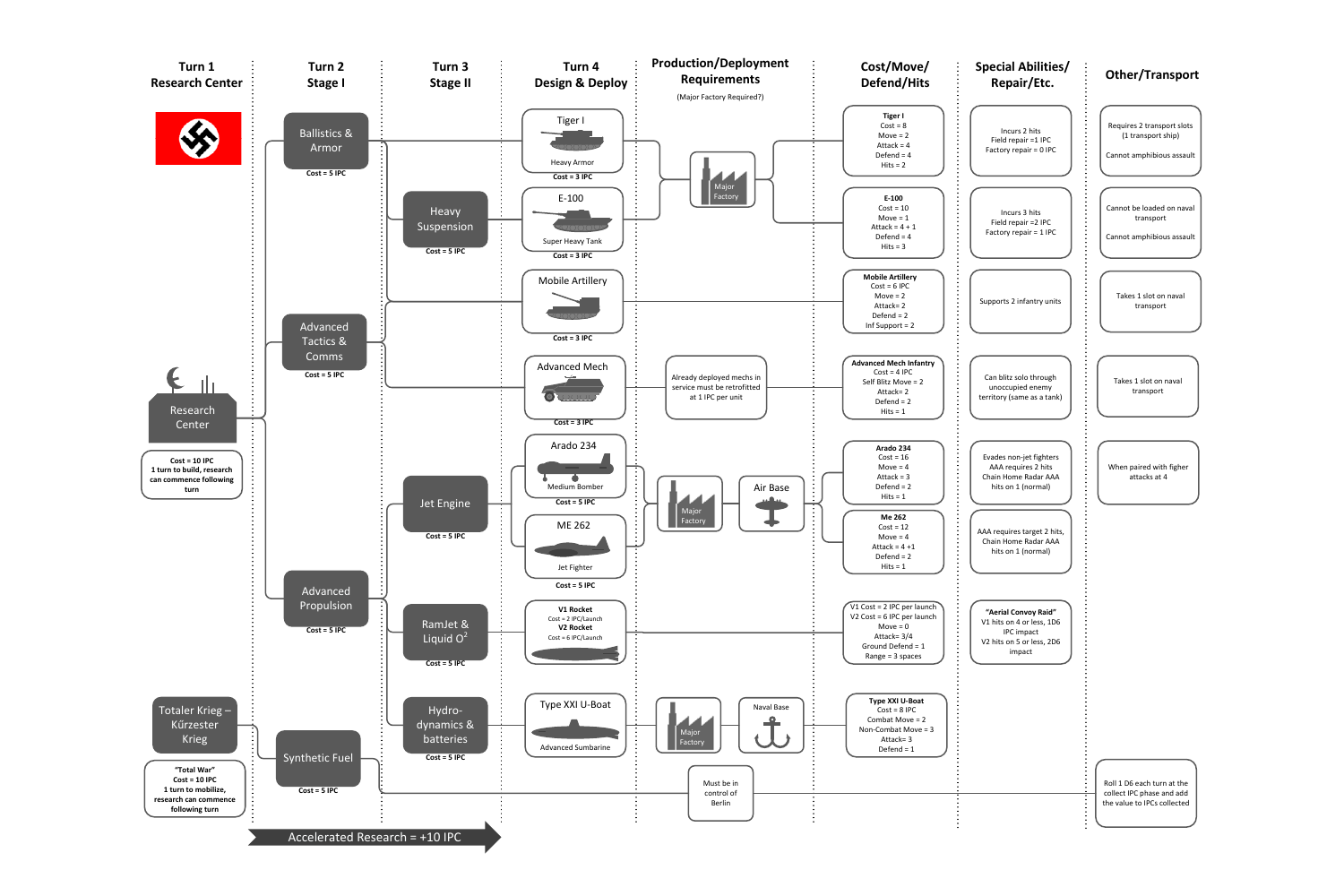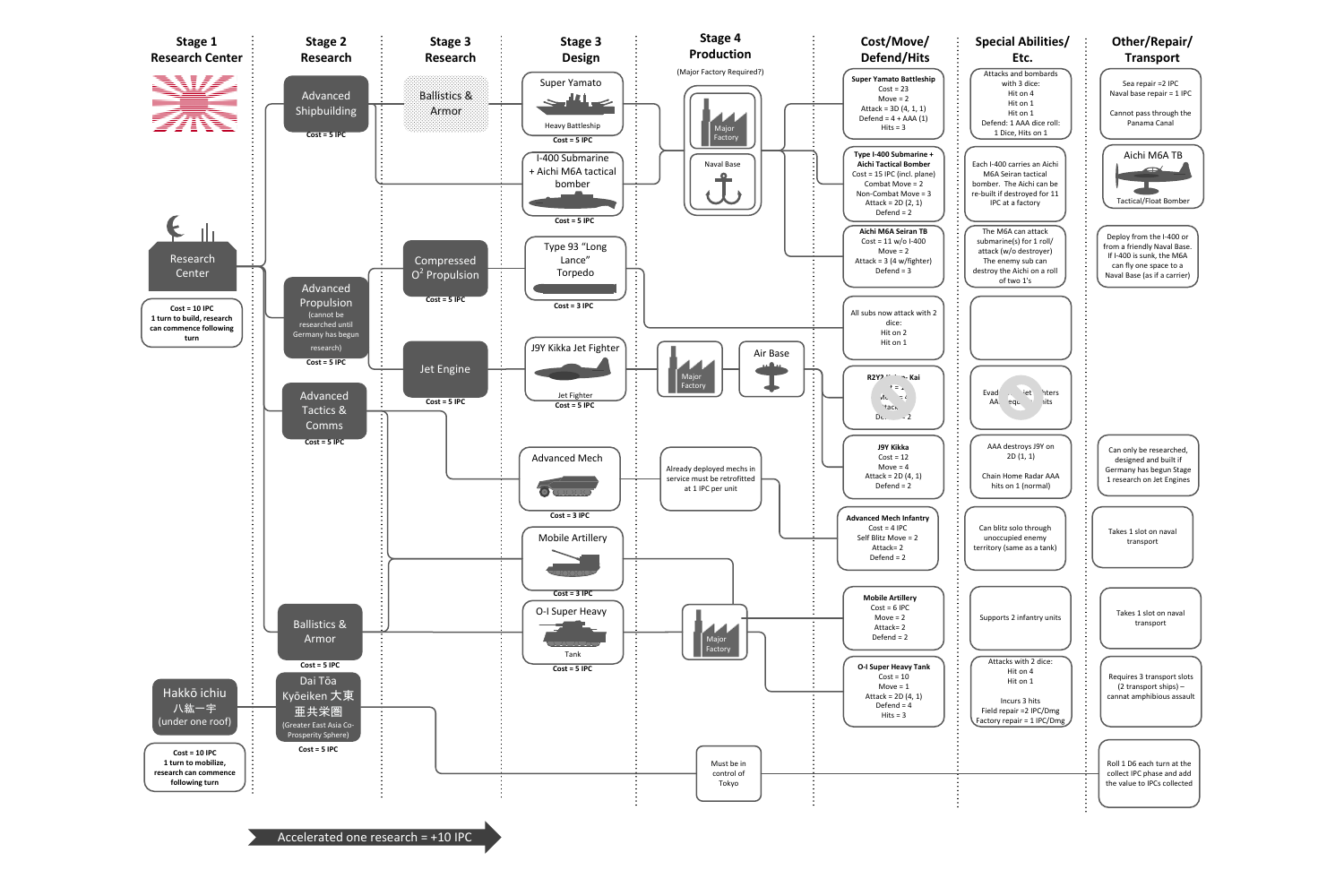Accelerated one research = +10 IPC

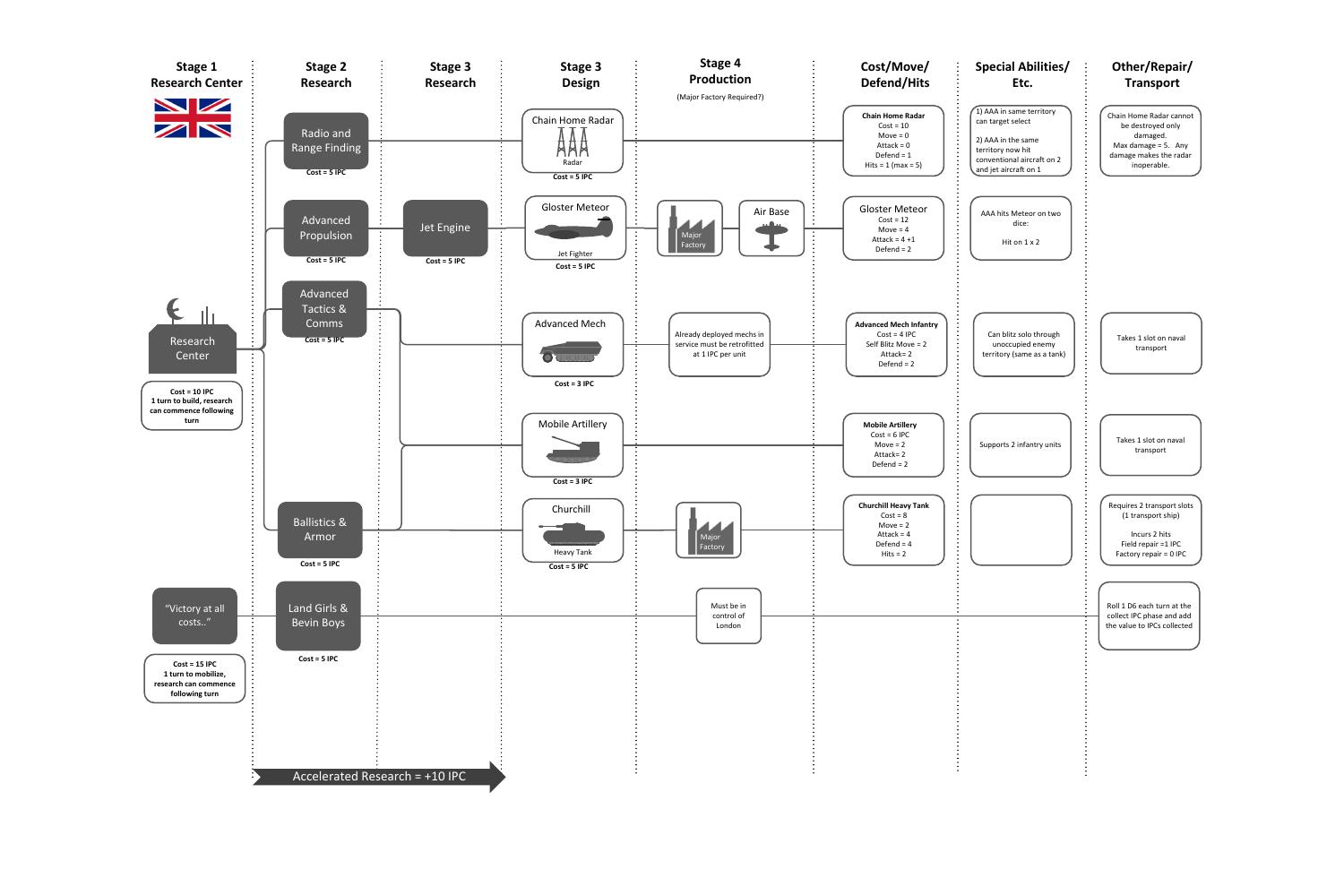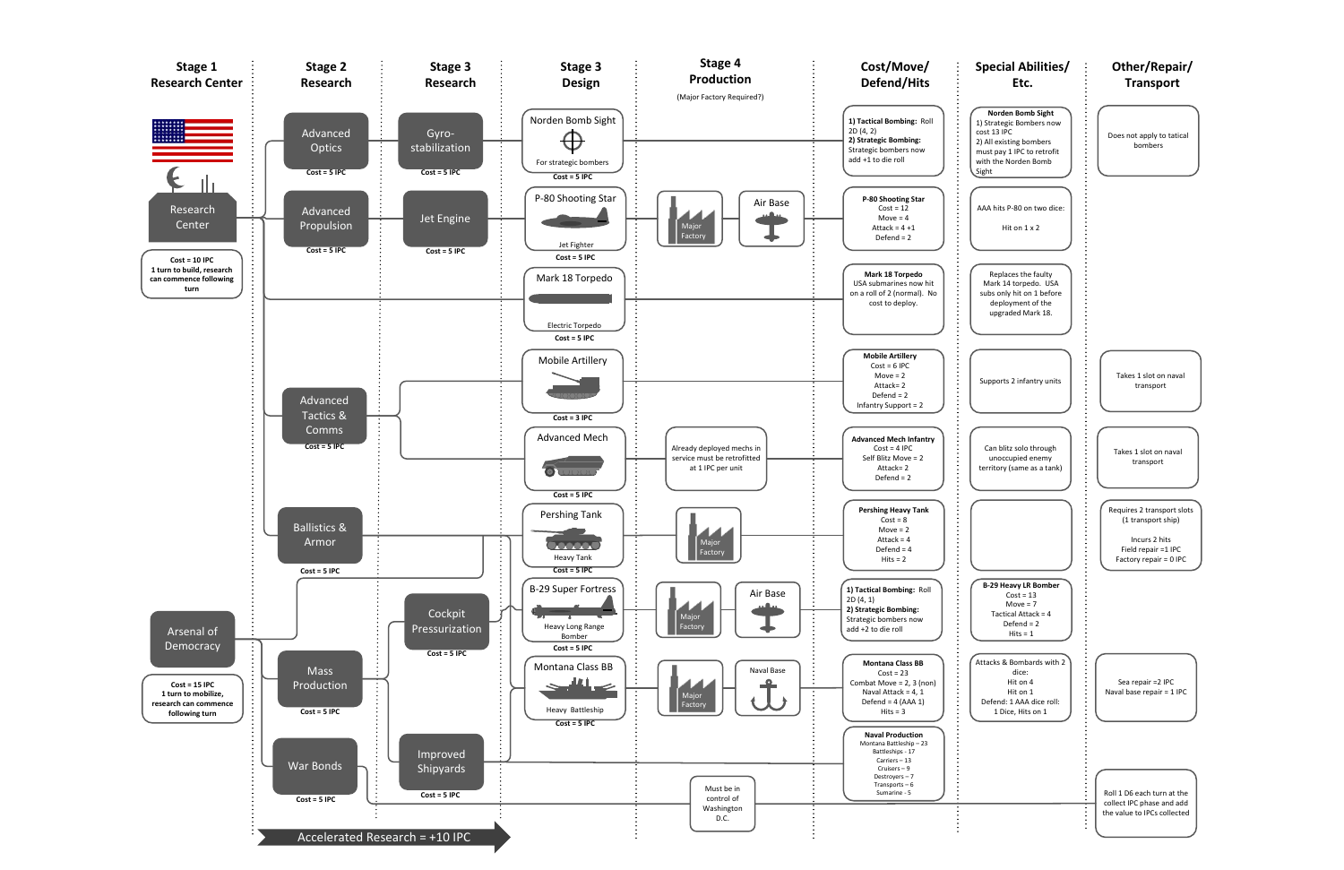

| Special Abilities/<br>Etc.                                                                                                                             | Other/Repair/<br><b>Transport</b>                                                                                  |
|--------------------------------------------------------------------------------------------------------------------------------------------------------|--------------------------------------------------------------------------------------------------------------------|
| Norden Bomb Sight<br>1) Strategic Bombers now<br>cost 13 IPC<br>2) All existing bombers<br>must pay 1 IPC to retrofit<br>with the Norden Bomb<br>Sight | Does not apply to tatical<br>bombers                                                                               |
| AAA hits P-80 on two dice:<br>Hit on $1 \times 2$                                                                                                      |                                                                                                                    |
| Replaces the faulty<br>Mark 14 torpedo. USA<br>subs only hit on 1 before<br>deployment of the<br>upgraded Mark 18.                                     |                                                                                                                    |
| Supports 2 infantry units                                                                                                                              | Takes 1 slot on naval<br>transport                                                                                 |
| Can blitz solo through<br>unoccupied enemy<br>territory (same as a tank)                                                                               | Takes 1 slot on naval<br>transport                                                                                 |
|                                                                                                                                                        | Requires 2 transport slots<br>(1 transport ship)<br>Incurs 2 hits<br>Field repair =1 IPC<br>Factory repair = 0 IPC |
| <b>B-29 Heavy LR Bomber</b><br>$Cost = 13$<br>Move = $7$<br>Tactical Attack = 4<br>Defend = $2$<br>$Hits = 1$                                          |                                                                                                                    |
| Attacks & Bombards with 2<br>dice:<br>Hit on 4<br>Hit on 1<br>Defend: 1 AAA dice roll:<br>1 Dice, Hits on 1                                            | Sea repair = 2 IPC<br>Naval base repair = 1 IPC                                                                    |
|                                                                                                                                                        | Roll 1 D6 each turn at the<br>collect IPC phase and add<br>the value to IPCs collected                             |